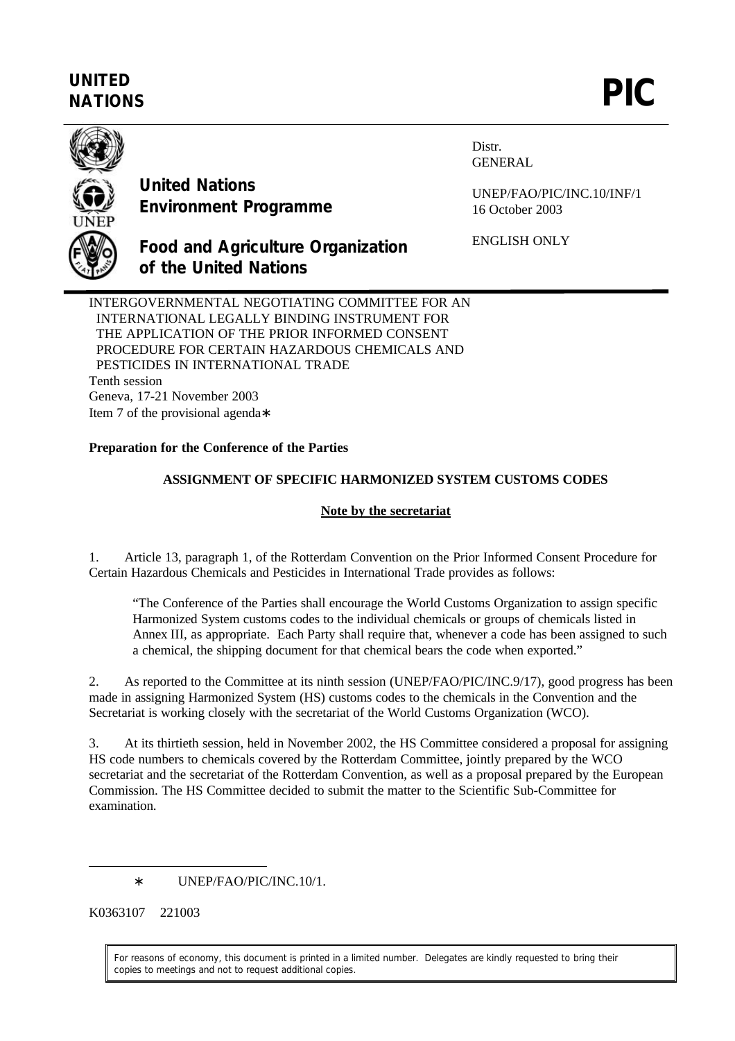# **UNITED** UNITED<br>NATIONS **PIC**



**United Nations Environment Programme**

**of the United Nations**

Distr. GENERAL

UNEP/FAO/PIC/INC.10/INF/1 16 October 2003

ENGLISH ONLY

INTERGOVERNMENTAL NEGOTIATING COMMITTEE FOR AN INTERNATIONAL LEGALLY BINDING INSTRUMENT FOR THE APPLICATION OF THE PRIOR INFORMED CONSENT PROCEDURE FOR CERTAIN HAZARDOUS CHEMICALS AND PESTICIDES IN INTERNATIONAL TRADE Tenth session Geneva, 17-21 November 2003 Item 7 of the provisional agenda∗

**Food and Agriculture Organization**

## **Preparation for the Conference of the Parties**

## **ASSIGNMENT OF SPECIFIC HARMONIZED SYSTEM CUSTOMS CODES**

#### **Note by the secretariat**

1. Article 13, paragraph 1, of the Rotterdam Convention on the Prior Informed Consent Procedure for Certain Hazardous Chemicals and Pesticides in International Trade provides as follows:

"The Conference of the Parties shall encourage the World Customs Organization to assign specific Harmonized System customs codes to the individual chemicals or groups of chemicals listed in Annex III, as appropriate. Each Party shall require that, whenever a code has been assigned to such a chemical, the shipping document for that chemical bears the code when exported."

2. As reported to the Committee at its ninth session (UNEP/FAO/PIC/INC.9/17), good progress has been made in assigning Harmonized System (HS) customs codes to the chemicals in the Convention and the Secretariat is working closely with the secretariat of the World Customs Organization (WCO).

3. At its thirtieth session, held in November 2002, the HS Committee considered a proposal for assigning HS code numbers to chemicals covered by the Rotterdam Committee, jointly prepared by the WCO secretariat and the secretariat of the Rotterdam Convention, as well as a proposal prepared by the European Commission. The HS Committee decided to submit the matter to the Scientific Sub-Committee for examination.

∗ UNEP/FAO/PIC/INC.10/1.

K0363107 221003

 $\overline{a}$ 

For reasons of economy, this document is printed in a limited number. Delegates are kindly requested to bring their copies to meetings and not to request additional copies.